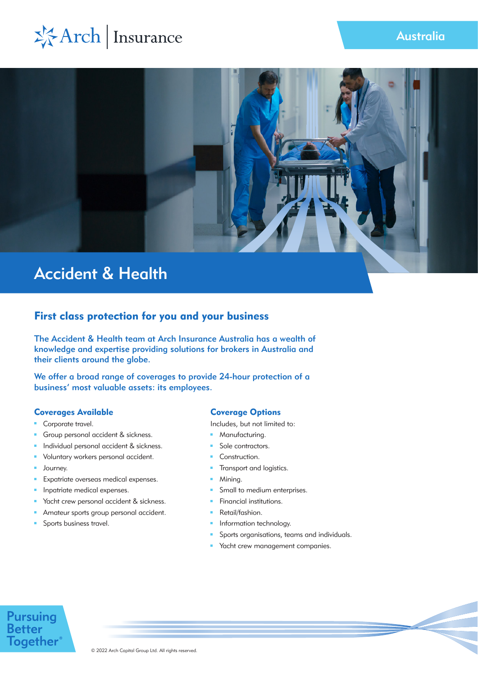



# First class protection for you and your business

The Accident & Health team at Arch Insurance Australia has a wealth of knowledge and expertise providing solutions for brokers in Australia and their clients around the globe.

We offer a broad range of coverages to provide 24-hour protection of a business' most valuable assets: its employees.

# Coverages Available

- $\mathbf{r}$ Corporate travel.
- a. Group personal accident & sickness.
- Individual personal accident & sickness.
- ú. Voluntary workers personal accident.
- ú. Journey.
- $\blacksquare$ Expatriate overseas medical expenses.
- Inpatriate medical expenses.
- Yacht crew personal accident & sickness.  $\blacksquare$
- Amateur sports group personal accident.
- Sports business travel. m.

# Coverage Options

Includes, but not limited to:

- **Manufacturing.**
- Sole contractors.
- **Construction.**
- Transport and logistics. a.
- **Mining.**
- $\mathbf{m}$ Small to medium enterprises.
- **Financial institutions.**
- **Retail/fashion.**
- **Information technology.**
- Sports organisations, teams and individuals.
- **Yacht crew management companies.**

# **Pursuing**<br>Better **Together**